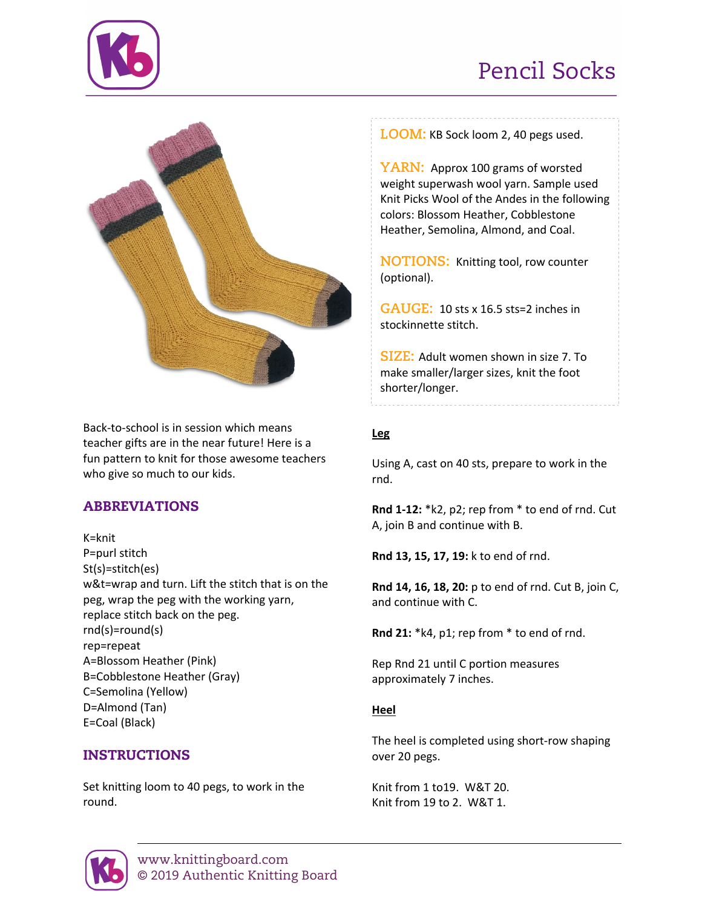# Pencil Socks





Back-to-school is in session which means teacher gifts are in the near future! Here is a fun pattern to knit for those awesome teachers who give so much to our kids.

# ABBREVIATIONS

K=knit P=purl stitch St(s)=stitch(es) w&t=wrap and turn. Lift the stitch that is on the peg, wrap the peg with the working yarn, replace stitch back on the peg. rnd(s)=round(s) rep=repeat A=Blossom Heather (Pink) B=Cobblestone Heather (Gray) C=Semolina (Yellow) D=Almond (Tan) E=Coal (Black)

# INSTRUCTIONS

Set knitting loom to 40 pegs, to work in the round.

**LOOM:** KB Sock loom 2, 40 pegs used.

**YARN:** Approx 100 grams of worsted weight superwash wool yarn. Sample used Knit Picks Wool of the Andes in the following colors: Blossom Heather, Cobblestone Heather, Semolina, Almond, and Coal.

**NOTIONS:** Knitting tool, row counter (optional).

**GAUGE:** 10 sts x 16.5 sts=2 inches in stockinnette stitch.

**SIZE:** Adult women shown in size 7. To make smaller/larger sizes, knit the foot shorter/longer.

## **Leg**

Using A, cast on 40 sts, prepare to work in the rnd.

**Rnd 1-12:** \*k2, p2; rep from \* to end of rnd. Cut A, join B and continue with B.

**Rnd 13, 15, 17, 19:** k to end of rnd.

**Rnd 14, 16, 18, 20:** p to end of rnd. Cut B, join C, and continue with C.

**Rnd 21:** \*k4, p1; rep from \* to end of rnd.

Rep Rnd 21 until C portion measures approximately 7 inches.

## **Heel**

The heel is completed using short-row shaping over 20 pegs.

Knit from 1 to19. W&T 20. Knit from 19 to 2. W&T 1.